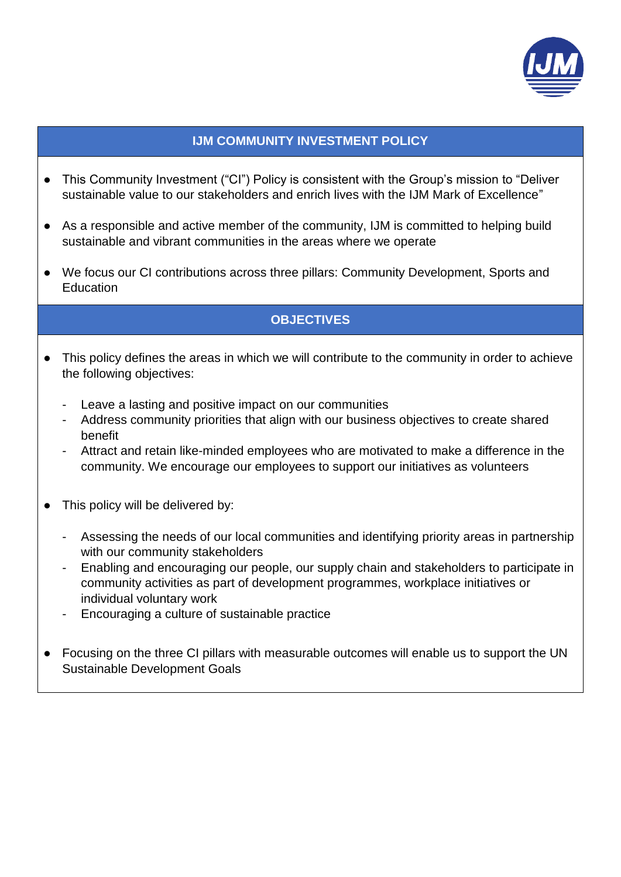

### **IJM COMMUNITY INVESTMENT POLICY**

- This Community Investment ("CI") Policy is consistent with the Group's mission to "Deliver sustainable value to our stakeholders and enrich lives with the IJM Mark of Excellence"
- As a responsible and active member of the community, IJM is committed to helping build sustainable and vibrant communities in the areas where we operate
- We focus our CI contributions across three pillars: Community Development, Sports and **Education**

## **OBJECTIVES**

- This policy defines the areas in which we will contribute to the community in order to achieve the following objectives:
	- Leave a lasting and positive impact on our communities
	- Address community priorities that align with our business objectives to create shared benefit
	- Attract and retain like-minded employees who are motivated to make a difference in the community. We encourage our employees to support our initiatives as volunteers
- This policy will be delivered by:
	- Assessing the needs of our local communities and identifying priority areas in partnership with our community stakeholders
	- Enabling and encouraging our people, our supply chain and stakeholders to participate in community activities as part of development programmes, workplace initiatives or individual voluntary work
	- Encouraging a culture of sustainable practice
- Focusing on the three CI pillars with measurable outcomes will enable us to support the UN Sustainable Development Goals